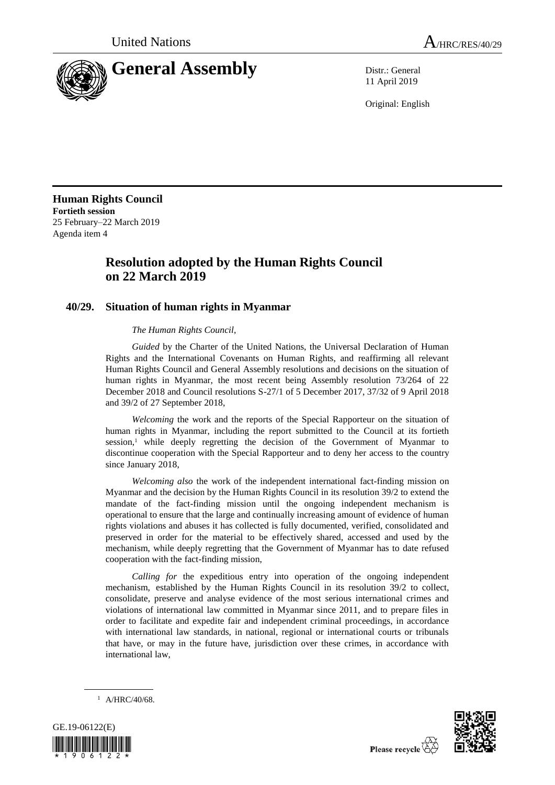

11 April 2019

Original: English

**Human Rights Council Fortieth session** 25 February–22 March 2019 Agenda item 4

# **Resolution adopted by the Human Rights Council on 22 March 2019**

## **40/29. Situation of human rights in Myanmar**

### *The Human Rights Council*,

*Guided* by the Charter of the United Nations, the Universal Declaration of Human Rights and the International Covenants on Human Rights, and reaffirming all relevant Human Rights Council and General Assembly resolutions and decisions on the situation of human rights in Myanmar, the most recent being Assembly resolution 73/264 of 22 December 2018 and Council resolutions S-27/1 of 5 December 2017, 37/32 of 9 April 2018 and 39/2 of 27 September 2018,

*Welcoming* the work and the reports of the Special Rapporteur on the situation of human rights in Myanmar, including the report submitted to the Council at its fortieth session,<sup>1</sup> while deeply regretting the decision of the Government of Myanmar to discontinue cooperation with the Special Rapporteur and to deny her access to the country since January 2018,

*Welcoming also* the work of the independent international fact-finding mission on Myanmar and the decision by the Human Rights Council in its resolution 39/2 to extend the mandate of the fact-finding mission until the ongoing independent mechanism is operational to ensure that the large and continually increasing amount of evidence of human rights violations and abuses it has collected is fully documented, verified, consolidated and preserved in order for the material to be effectively shared, accessed and used by the mechanism, while deeply regretting that the Government of Myanmar has to date refused cooperation with the fact-finding mission,

*Calling for* the expeditious entry into operation of the ongoing independent mechanism, established by the Human Rights Council in its resolution 39/2 to collect, consolidate, preserve and analyse evidence of the most serious international crimes and violations of international law committed in Myanmar since 2011, and to prepare files in order to facilitate and expedite fair and independent criminal proceedings, in accordance with international law standards, in national, regional or international courts or tribunals that have, or may in the future have, jurisdiction over these crimes, in accordance with international law,



 $1$  A/HRC/40/68.

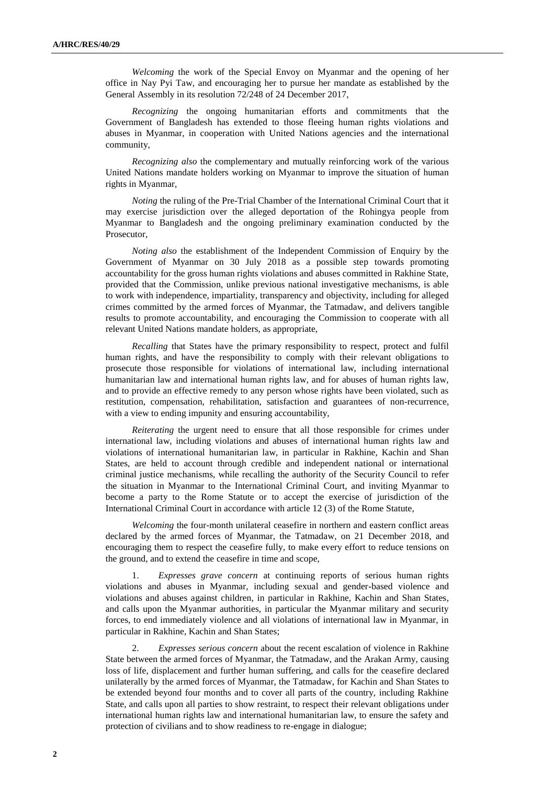*Welcoming* the work of the Special Envoy on Myanmar and the opening of her office in Nay Pyi Taw, and encouraging her to pursue her mandate as established by the General Assembly in its resolution 72/248 of 24 December 2017,

*Recognizing* the ongoing humanitarian efforts and commitments that the Government of Bangladesh has extended to those fleeing human rights violations and abuses in Myanmar, in cooperation with United Nations agencies and the international community,

*Recognizing also* the complementary and mutually reinforcing work of the various United Nations mandate holders working on Myanmar to improve the situation of human rights in Myanmar,

*Noting* the ruling of the Pre-Trial Chamber of the International Criminal Court that it may exercise jurisdiction over the alleged deportation of the Rohingya people from Myanmar to Bangladesh and the ongoing preliminary examination conducted by the Prosecutor,

*Noting also* the establishment of the Independent Commission of Enquiry by the Government of Myanmar on 30 July 2018 as a possible step towards promoting accountability for the gross human rights violations and abuses committed in Rakhine State, provided that the Commission, unlike previous national investigative mechanisms, is able to work with independence, impartiality, transparency and objectivity, including for alleged crimes committed by the armed forces of Myanmar, the Tatmadaw, and delivers tangible results to promote accountability, and encouraging the Commission to cooperate with all relevant United Nations mandate holders, as appropriate,

*Recalling* that States have the primary responsibility to respect, protect and fulfil human rights, and have the responsibility to comply with their relevant obligations to prosecute those responsible for violations of international law, including international humanitarian law and international human rights law, and for abuses of human rights law, and to provide an effective remedy to any person whose rights have been violated, such as restitution, compensation, rehabilitation, satisfaction and guarantees of non-recurrence, with a view to ending impunity and ensuring accountability,

*Reiterating* the urgent need to ensure that all those responsible for crimes under international law, including violations and abuses of international human rights law and violations of international humanitarian law, in particular in Rakhine, Kachin and Shan States, are held to account through credible and independent national or international criminal justice mechanisms, while recalling the authority of the Security Council to refer the situation in Myanmar to the International Criminal Court, and inviting Myanmar to become a party to the Rome Statute or to accept the exercise of jurisdiction of the International Criminal Court in accordance with article 12 (3) of the Rome Statute,

*Welcoming* the four-month unilateral ceasefire in northern and eastern conflict areas declared by the armed forces of Myanmar, the Tatmadaw, on 21 December 2018, and encouraging them to respect the ceasefire fully, to make every effort to reduce tensions on the ground, and to extend the ceasefire in time and scope,

1. *Expresses grave concern* at continuing reports of serious human rights violations and abuses in Myanmar, including sexual and gender-based violence and violations and abuses against children, in particular in Rakhine, Kachin and Shan States, and calls upon the Myanmar authorities, in particular the Myanmar military and security forces, to end immediately violence and all violations of international law in Myanmar, in particular in Rakhine, Kachin and Shan States;

2. *Expresses serious concern* about the recent escalation of violence in Rakhine State between the armed forces of Myanmar, the Tatmadaw, and the Arakan Army, causing loss of life, displacement and further human suffering, and calls for the ceasefire declared unilaterally by the armed forces of Myanmar, the Tatmadaw, for Kachin and Shan States to be extended beyond four months and to cover all parts of the country, including Rakhine State, and calls upon all parties to show restraint, to respect their relevant obligations under international human rights law and international humanitarian law, to ensure the safety and protection of civilians and to show readiness to re-engage in dialogue;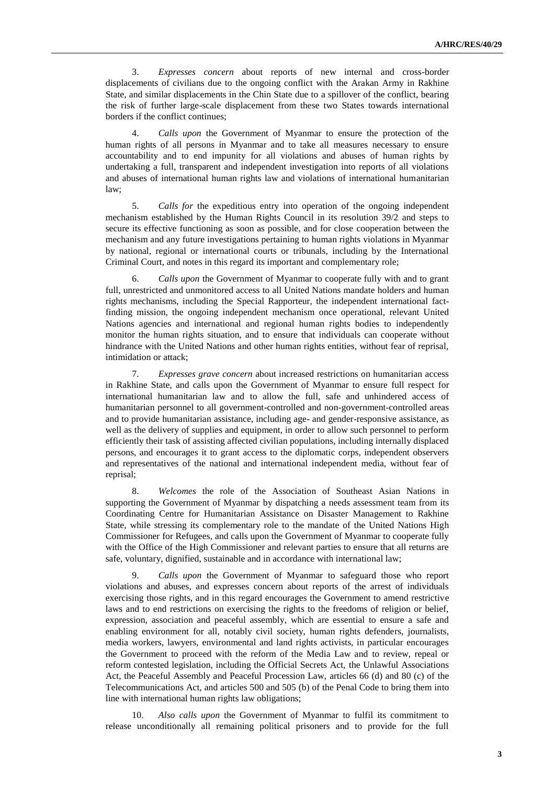3. *Expresses concern* about reports of new internal and cross-border displacements of civilians due to the ongoing conflict with the Arakan Army in Rakhine State, and similar displacements in the Chin State due to a spillover of the conflict, bearing the risk of further large-scale displacement from these two States towards international borders if the conflict continues;

4. *Calls upon* the Government of Myanmar to ensure the protection of the human rights of all persons in Myanmar and to take all measures necessary to ensure accountability and to end impunity for all violations and abuses of human rights by undertaking a full, transparent and independent investigation into reports of all violations and abuses of international human rights law and violations of international humanitarian law;

5. *Calls for* the expeditious entry into operation of the ongoing independent mechanism established by the Human Rights Council in its resolution 39/2 and steps to secure its effective functioning as soon as possible, and for close cooperation between the mechanism and any future investigations pertaining to human rights violations in Myanmar by national, regional or international courts or tribunals, including by the International Criminal Court, and notes in this regard its important and complementary role;

6. *Calls upon* the Government of Myanmar to cooperate fully with and to grant full, unrestricted and unmonitored access to all United Nations mandate holders and human rights mechanisms, including the Special Rapporteur, the independent international factfinding mission, the ongoing independent mechanism once operational, relevant United Nations agencies and international and regional human rights bodies to independently monitor the human rights situation, and to ensure that individuals can cooperate without hindrance with the United Nations and other human rights entities, without fear of reprisal, intimidation or attack;

7. *Expresses grave concern* about increased restrictions on humanitarian access in Rakhine State, and calls upon the Government of Myanmar to ensure full respect for international humanitarian law and to allow the full, safe and unhindered access of humanitarian personnel to all government-controlled and non-government-controlled areas and to provide humanitarian assistance, including age- and gender-responsive assistance, as well as the delivery of supplies and equipment, in order to allow such personnel to perform efficiently their task of assisting affected civilian populations, including internally displaced persons, and encourages it to grant access to the diplomatic corps, independent observers and representatives of the national and international independent media, without fear of reprisal;

8. *Welcomes* the role of the Association of Southeast Asian Nations in supporting the Government of Myanmar by dispatching a needs assessment team from its Coordinating Centre for Humanitarian Assistance on Disaster Management to Rakhine State, while stressing its complementary role to the mandate of the United Nations High Commissioner for Refugees, and calls upon the Government of Myanmar to cooperate fully with the Office of the High Commissioner and relevant parties to ensure that all returns are safe, voluntary, dignified, sustainable and in accordance with international law;

9. *Calls upon* the Government of Myanmar to safeguard those who report violations and abuses, and expresses concern about reports of the arrest of individuals exercising those rights, and in this regard encourages the Government to amend restrictive laws and to end restrictions on exercising the rights to the freedoms of religion or belief, expression, association and peaceful assembly, which are essential to ensure a safe and enabling environment for all, notably civil society, human rights defenders, journalists, media workers, lawyers, environmental and land rights activists, in particular encourages the Government to proceed with the reform of the Media Law and to review, repeal or reform contested legislation, including the Official Secrets Act, the Unlawful Associations Act, the Peaceful Assembly and Peaceful Procession Law, articles 66 (d) and 80 (c) of the Telecommunications Act, and articles 500 and 505 (b) of the Penal Code to bring them into line with international human rights law obligations;

10. *Also calls upon* the Government of Myanmar to fulfil its commitment to release unconditionally all remaining political prisoners and to provide for the full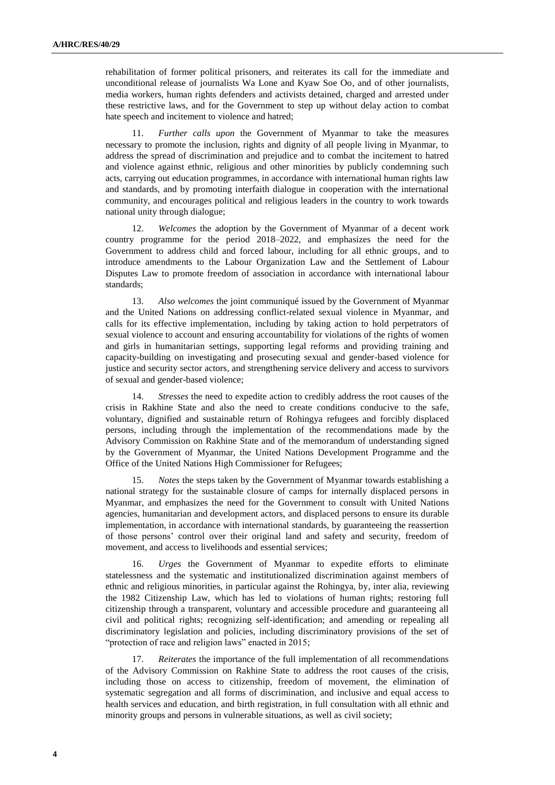rehabilitation of former political prisoners, and reiterates its call for the immediate and unconditional release of journalists Wa Lone and Kyaw Soe Oo, and of other journalists, media workers, human rights defenders and activists detained, charged and arrested under these restrictive laws, and for the Government to step up without delay action to combat hate speech and incitement to violence and hatred;

11. *Further calls upon* the Government of Myanmar to take the measures necessary to promote the inclusion, rights and dignity of all people living in Myanmar, to address the spread of discrimination and prejudice and to combat the incitement to hatred and violence against ethnic, religious and other minorities by publicly condemning such acts, carrying out education programmes, in accordance with international human rights law and standards, and by promoting interfaith dialogue in cooperation with the international community, and encourages political and religious leaders in the country to work towards national unity through dialogue;

12. *Welcomes* the adoption by the Government of Myanmar of a decent work country programme for the period 2018–2022, and emphasizes the need for the Government to address child and forced labour, including for all ethnic groups, and to introduce amendments to the Labour Organization Law and the Settlement of Labour Disputes Law to promote freedom of association in accordance with international labour standards;

13. *Also welcomes* the joint communiqué issued by the Government of Myanmar and the United Nations on addressing conflict-related sexual violence in Myanmar, and calls for its effective implementation, including by taking action to hold perpetrators of sexual violence to account and ensuring accountability for violations of the rights of women and girls in humanitarian settings, supporting legal reforms and providing training and capacity-building on investigating and prosecuting sexual and gender-based violence for justice and security sector actors, and strengthening service delivery and access to survivors of sexual and gender-based violence;

14. *Stresses* the need to expedite action to credibly address the root causes of the crisis in Rakhine State and also the need to create conditions conducive to the safe, voluntary, dignified and sustainable return of Rohingya refugees and forcibly displaced persons, including through the implementation of the recommendations made by the Advisory Commission on Rakhine State and of the memorandum of understanding signed by the Government of Myanmar, the United Nations Development Programme and the Office of the United Nations High Commissioner for Refugees;

*Notes* the steps taken by the Government of Myanmar towards establishing a national strategy for the sustainable closure of camps for internally displaced persons in Myanmar, and emphasizes the need for the Government to consult with United Nations agencies, humanitarian and development actors, and displaced persons to ensure its durable implementation, in accordance with international standards, by guaranteeing the reassertion of those persons' control over their original land and safety and security, freedom of movement, and access to livelihoods and essential services;

16. *Urges* the Government of Myanmar to expedite efforts to eliminate statelessness and the systematic and institutionalized discrimination against members of ethnic and religious minorities, in particular against the Rohingya, by, inter alia, reviewing the 1982 Citizenship Law, which has led to violations of human rights; restoring full citizenship through a transparent, voluntary and accessible procedure and guaranteeing all civil and political rights; recognizing self-identification; and amending or repealing all discriminatory legislation and policies, including discriminatory provisions of the set of "protection of race and religion laws" enacted in 2015;

17. *Reiterates* the importance of the full implementation of all recommendations of the Advisory Commission on Rakhine State to address the root causes of the crisis, including those on access to citizenship, freedom of movement, the elimination of systematic segregation and all forms of discrimination, and inclusive and equal access to health services and education, and birth registration, in full consultation with all ethnic and minority groups and persons in vulnerable situations, as well as civil society;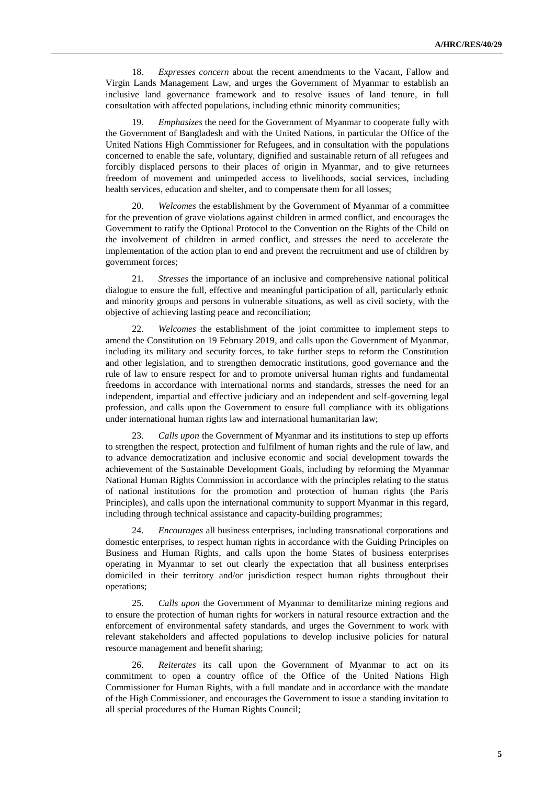18. *Expresses concern* about the recent amendments to the Vacant, Fallow and Virgin Lands Management Law, and urges the Government of Myanmar to establish an inclusive land governance framework and to resolve issues of land tenure, in full consultation with affected populations, including ethnic minority communities;

19. *Emphasizes* the need for the Government of Myanmar to cooperate fully with the Government of Bangladesh and with the United Nations, in particular the Office of the United Nations High Commissioner for Refugees, and in consultation with the populations concerned to enable the safe, voluntary, dignified and sustainable return of all refugees and forcibly displaced persons to their places of origin in Myanmar, and to give returnees freedom of movement and unimpeded access to livelihoods, social services, including health services, education and shelter, and to compensate them for all losses;

20. *Welcomes* the establishment by the Government of Myanmar of a committee for the prevention of grave violations against children in armed conflict, and encourages the Government to ratify the Optional Protocol to the Convention on the Rights of the Child on the involvement of children in armed conflict, and stresses the need to accelerate the implementation of the action plan to end and prevent the recruitment and use of children by government forces;

21. *Stresses* the importance of an inclusive and comprehensive national political dialogue to ensure the full, effective and meaningful participation of all, particularly ethnic and minority groups and persons in vulnerable situations, as well as civil society, with the objective of achieving lasting peace and reconciliation;

22. *Welcomes* the establishment of the joint committee to implement steps to amend the Constitution on 19 February 2019, and calls upon the Government of Myanmar, including its military and security forces, to take further steps to reform the Constitution and other legislation, and to strengthen democratic institutions, good governance and the rule of law to ensure respect for and to promote universal human rights and fundamental freedoms in accordance with international norms and standards, stresses the need for an independent, impartial and effective judiciary and an independent and self-governing legal profession, and calls upon the Government to ensure full compliance with its obligations under international human rights law and international humanitarian law;

23. *Calls upon* the Government of Myanmar and its institutions to step up efforts to strengthen the respect, protection and fulfilment of human rights and the rule of law, and to advance democratization and inclusive economic and social development towards the achievement of the Sustainable Development Goals, including by reforming the Myanmar National Human Rights Commission in accordance with the principles relating to the status of national institutions for the promotion and protection of human rights (the Paris Principles), and calls upon the international community to support Myanmar in this regard, including through technical assistance and capacity-building programmes;

24. *Encourages* all business enterprises, including transnational corporations and domestic enterprises, to respect human rights in accordance with the Guiding Principles on Business and Human Rights, and calls upon the home States of business enterprises operating in Myanmar to set out clearly the expectation that all business enterprises domiciled in their territory and/or jurisdiction respect human rights throughout their operations;

25. *Calls upon* the Government of Myanmar to demilitarize mining regions and to ensure the protection of human rights for workers in natural resource extraction and the enforcement of environmental safety standards, and urges the Government to work with relevant stakeholders and affected populations to develop inclusive policies for natural resource management and benefit sharing;

26. *Reiterates* its call upon the Government of Myanmar to act on its commitment to open a country office of the Office of the United Nations High Commissioner for Human Rights, with a full mandate and in accordance with the mandate of the High Commissioner, and encourages the Government to issue a standing invitation to all special procedures of the Human Rights Council;